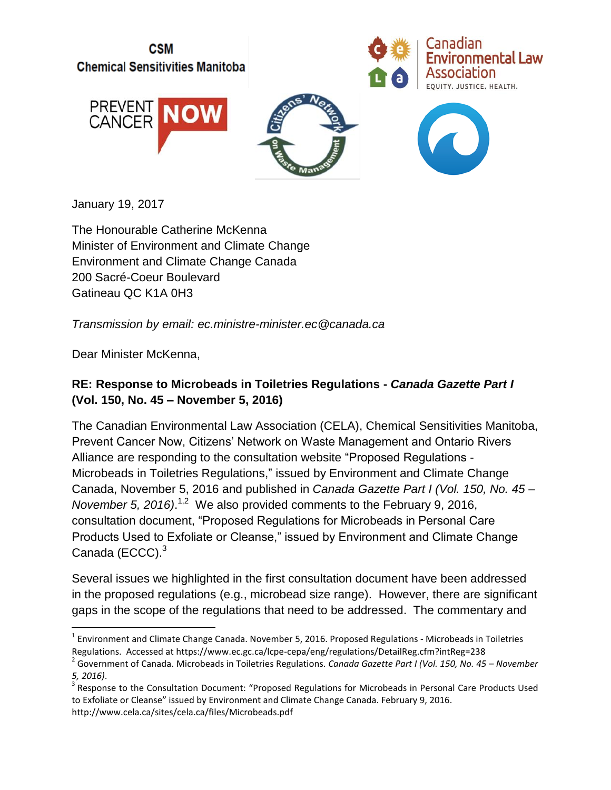

January 19, 2017

The Honourable Catherine McKenna Minister of Environment and Climate Change Environment and Climate Change Canada 200 Sacré-Coeur Boulevard Gatineau QC K1A 0H3

*Transmission by email: ec.ministre-minister.ec@canada.ca*

Dear Minister McKenna,

 $\overline{\phantom{a}}$ 

#### **RE: Response to Microbeads in Toiletries Regulations -** *Canada Gazette Part I* **(Vol. 150, No. 45 – November 5, 2016)**

The Canadian Environmental Law Association (CELA), Chemical Sensitivities Manitoba, Prevent Cancer Now, Citizens' Network on Waste Management and Ontario Rivers Alliance are responding to the consultation website "Proposed Regulations - Microbeads in Toiletries Regulations," issued by Environment and Climate Change Canada, November 5, 2016 and published in *Canada Gazette Part I (Vol. 150, No. 45 – November 5, 2016*).<sup>1,2</sup> We also provided comments to the February 9, 2016, consultation document, "Proposed Regulations for Microbeads in Personal Care Products Used to Exfoliate or Cleanse," issued by Environment and Climate Change Canada (ECCC). $^3$ 

Several issues we highlighted in the first consultation document have been addressed in the proposed regulations (e.g., microbead size range). However, there are significant gaps in the scope of the regulations that need to be addressed. The commentary and

 $^1$  Environment and Climate Change Canada. November 5, 2016. Proposed Regulations - Microbeads in Toiletries Regulations. Accessed at https://www.ec.gc.ca/lcpe-cepa/eng/regulations/DetailReg.cfm?intReg=238

<sup>2</sup> Government of Canada. Microbeads in Toiletries Regulations. *Canada Gazette Part I (Vol. 150, No. 45 – November 5, 2016)*.

<sup>&</sup>lt;sup>3</sup> Response to the Consultation Document: "Proposed Regulations for Microbeads in Personal Care Products Used to Exfoliate or Cleanse" issued by Environment and Climate Change Canada. February 9, 2016. http://www.cela.ca/sites/cela.ca/files/Microbeads.pdf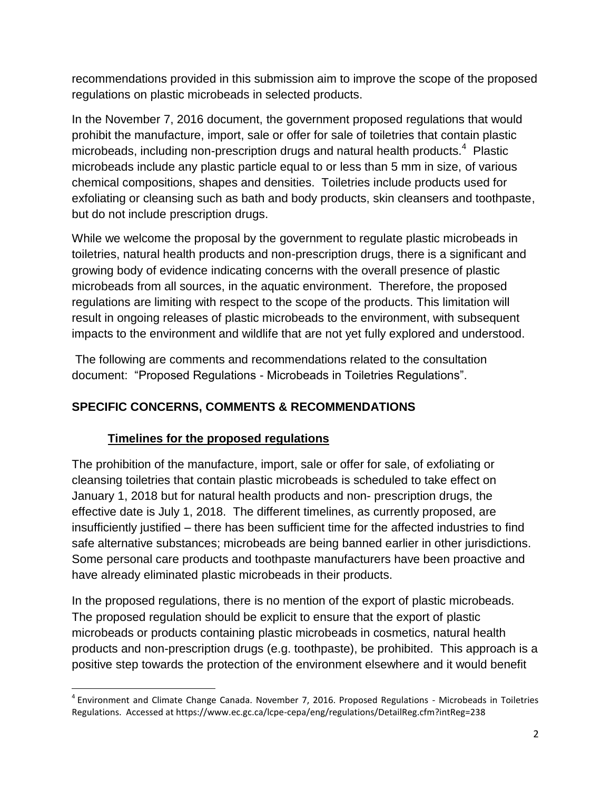recommendations provided in this submission aim to improve the scope of the proposed regulations on plastic microbeads in selected products.

In the November 7, 2016 document, the government proposed regulations that would prohibit the manufacture, import, sale or offer for sale of toiletries that contain plastic microbeads, including non-prescription drugs and natural health products. $4$  Plastic microbeads include any plastic particle equal to or less than 5 mm in size, of various chemical compositions, shapes and densities. Toiletries include products used for exfoliating or cleansing such as bath and body products, skin cleansers and toothpaste, but do not include prescription drugs.

While we welcome the proposal by the government to regulate plastic microbeads in toiletries, natural health products and non-prescription drugs, there is a significant and growing body of evidence indicating concerns with the overall presence of plastic microbeads from all sources, in the aquatic environment. Therefore, the proposed regulations are limiting with respect to the scope of the products. This limitation will result in ongoing releases of plastic microbeads to the environment, with subsequent impacts to the environment and wildlife that are not yet fully explored and understood.

The following are comments and recommendations related to the consultation document: "Proposed Regulations - Microbeads in Toiletries Regulations".

# **SPECIFIC CONCERNS, COMMENTS & RECOMMENDATIONS**

#### **Timelines for the proposed regulations**

l

The prohibition of the manufacture, import, sale or offer for sale, of exfoliating or cleansing toiletries that contain plastic microbeads is scheduled to take effect on January 1, 2018 but for natural health products and non- prescription drugs, the effective date is July 1, 2018. The different timelines, as currently proposed, are insufficiently justified – there has been sufficient time for the affected industries to find safe alternative substances; microbeads are being banned earlier in other jurisdictions. Some personal care products and toothpaste manufacturers have been proactive and have already eliminated plastic microbeads in their products.

In the proposed regulations, there is no mention of the export of plastic microbeads. The proposed regulation should be explicit to ensure that the export of plastic microbeads or products containing plastic microbeads in cosmetics, natural health products and non-prescription drugs (e.g. toothpaste), be prohibited. This approach is a positive step towards the protection of the environment elsewhere and it would benefit

<sup>&</sup>lt;sup>4</sup> Environment and Climate Change Canada. November 7, 2016. Proposed Regulations - Microbeads in Toiletries Regulations. Accessed at https://www.ec.gc.ca/lcpe-cepa/eng/regulations/DetailReg.cfm?intReg=238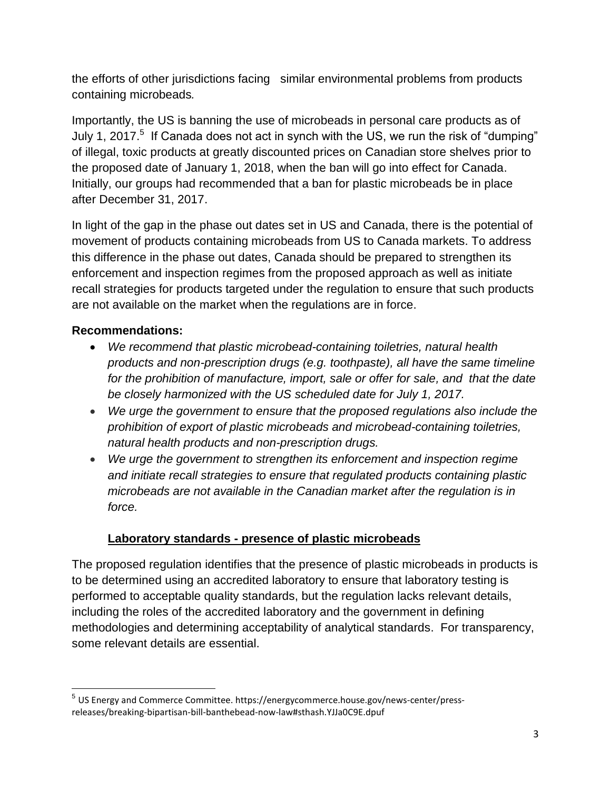the efforts of other jurisdictions facing similar environmental problems from products containing microbeads*.*

Importantly, the US is banning the use of microbeads in personal care products as of July 1, 2017.<sup>5</sup> If Canada does not act in synch with the US, we run the risk of "dumping" of illegal, toxic products at greatly discounted prices on Canadian store shelves prior to the proposed date of January 1, 2018, when the ban will go into effect for Canada. Initially, our groups had recommended that a ban for plastic microbeads be in place after December 31, 2017.

In light of the gap in the phase out dates set in US and Canada, there is the potential of movement of products containing microbeads from US to Canada markets. To address this difference in the phase out dates, Canada should be prepared to strengthen its enforcement and inspection regimes from the proposed approach as well as initiate recall strategies for products targeted under the regulation to ensure that such products are not available on the market when the regulations are in force.

## **Recommendations:**

- *We recommend that plastic microbead-containing toiletries, natural health products and non-prescription drugs (e.g. toothpaste), all have the same timeline for the prohibition of manufacture, import, sale or offer for sale, and that the date be closely harmonized with the US scheduled date for July 1, 2017.*
- *We urge the government to ensure that the proposed regulations also include the prohibition of export of plastic microbeads and microbead-containing toiletries, natural health products and non-prescription drugs.*
- *We urge the government to strengthen its enforcement and inspection regime and initiate recall strategies to ensure that regulated products containing plastic microbeads are not available in the Canadian market after the regulation is in force.*

# **Laboratory standards - presence of plastic microbeads**

The proposed regulation identifies that the presence of plastic microbeads in products is to be determined using an accredited laboratory to ensure that laboratory testing is performed to acceptable quality standards, but the regulation lacks relevant details, including the roles of the accredited laboratory and the government in defining methodologies and determining acceptability of analytical standards. For transparency, some relevant details are essential.

l 5 US Energy and Commerce Committee. https://energycommerce.house.gov/news-center/pressreleases/breaking-bipartisan-bill-banthebead-now-law#sthash.YJJa0C9E.dpuf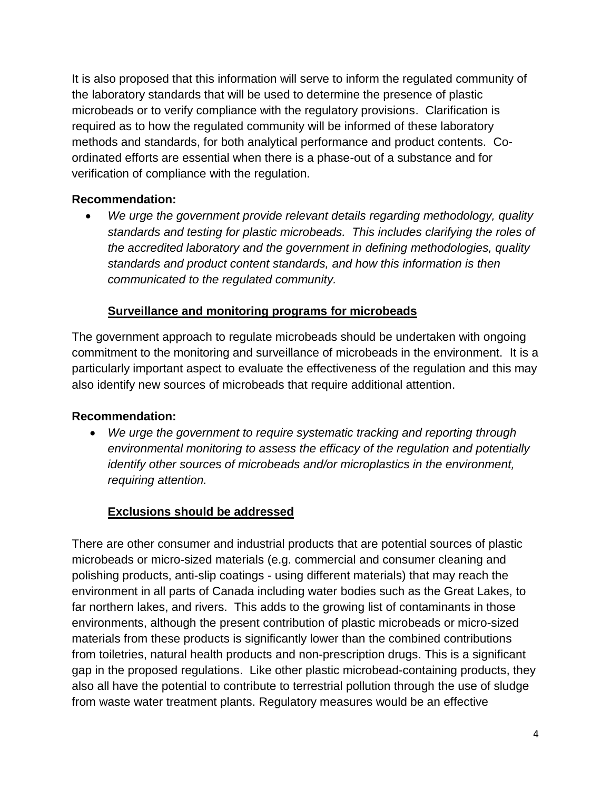It is also proposed that this information will serve to inform the regulated community of the laboratory standards that will be used to determine the presence of plastic microbeads or to verify compliance with the regulatory provisions. Clarification is required as to how the regulated community will be informed of these laboratory methods and standards, for both analytical performance and product contents. Coordinated efforts are essential when there is a phase-out of a substance and for verification of compliance with the regulation.

#### **Recommendation:**

 *We urge the government provide relevant details regarding methodology, quality standards and testing for plastic microbeads. This includes clarifying the roles of the accredited laboratory and the government in defining methodologies, quality standards and product content standards, and how this information is then communicated to the regulated community.* 

## **Surveillance and monitoring programs for microbeads**

The government approach to regulate microbeads should be undertaken with ongoing commitment to the monitoring and surveillance of microbeads in the environment. It is a particularly important aspect to evaluate the effectiveness of the regulation and this may also identify new sources of microbeads that require additional attention.

## **Recommendation:**

 *We urge the government to require systematic tracking and reporting through environmental monitoring to assess the efficacy of the regulation and potentially identify other sources of microbeads and/or microplastics in the environment, requiring attention.*

# **Exclusions should be addressed**

There are other consumer and industrial products that are potential sources of plastic microbeads or micro-sized materials (e.g. commercial and consumer cleaning and polishing products, anti-slip coatings - using different materials) that may reach the environment in all parts of Canada including water bodies such as the Great Lakes, to far northern lakes, and rivers. This adds to the growing list of contaminants in those environments, although the present contribution of plastic microbeads or micro-sized materials from these products is significantly lower than the combined contributions from toiletries, natural health products and non-prescription drugs. This is a significant gap in the proposed regulations. Like other plastic microbead-containing products, they also all have the potential to contribute to terrestrial pollution through the use of sludge from waste water treatment plants. Regulatory measures would be an effective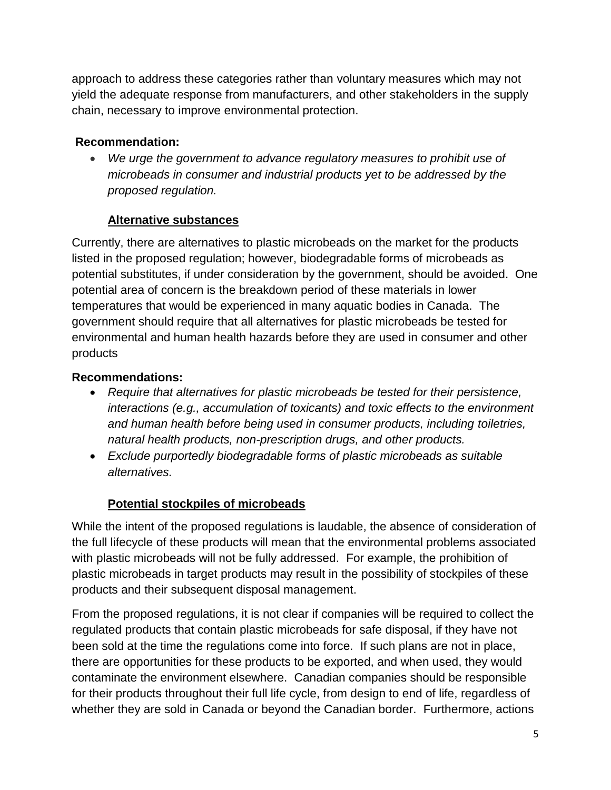approach to address these categories rather than voluntary measures which may not yield the adequate response from manufacturers, and other stakeholders in the supply chain, necessary to improve environmental protection.

## **Recommendation:**

 *We urge the government to advance regulatory measures to prohibit use of microbeads in consumer and industrial products yet to be addressed by the proposed regulation.*

## **Alternative substances**

Currently, there are alternatives to plastic microbeads on the market for the products listed in the proposed regulation; however, biodegradable forms of microbeads as potential substitutes, if under consideration by the government, should be avoided. One potential area of concern is the breakdown period of these materials in lower temperatures that would be experienced in many aquatic bodies in Canada. The government should require that all alternatives for plastic microbeads be tested for environmental and human health hazards before they are used in consumer and other products

## **Recommendations:**

- *Require that alternatives for plastic microbeads be tested for their persistence, interactions (e.g., accumulation of toxicants) and toxic effects to the environment and human health before being used in consumer products, including toiletries, natural health products, non-prescription drugs, and other products.*
- *Exclude purportedly biodegradable forms of plastic microbeads as suitable alternatives.*

## **Potential stockpiles of microbeads**

While the intent of the proposed regulations is laudable, the absence of consideration of the full lifecycle of these products will mean that the environmental problems associated with plastic microbeads will not be fully addressed. For example, the prohibition of plastic microbeads in target products may result in the possibility of stockpiles of these products and their subsequent disposal management.

From the proposed regulations, it is not clear if companies will be required to collect the regulated products that contain plastic microbeads for safe disposal, if they have not been sold at the time the regulations come into force. If such plans are not in place, there are opportunities for these products to be exported, and when used, they would contaminate the environment elsewhere. Canadian companies should be responsible for their products throughout their full life cycle, from design to end of life, regardless of whether they are sold in Canada or beyond the Canadian border. Furthermore, actions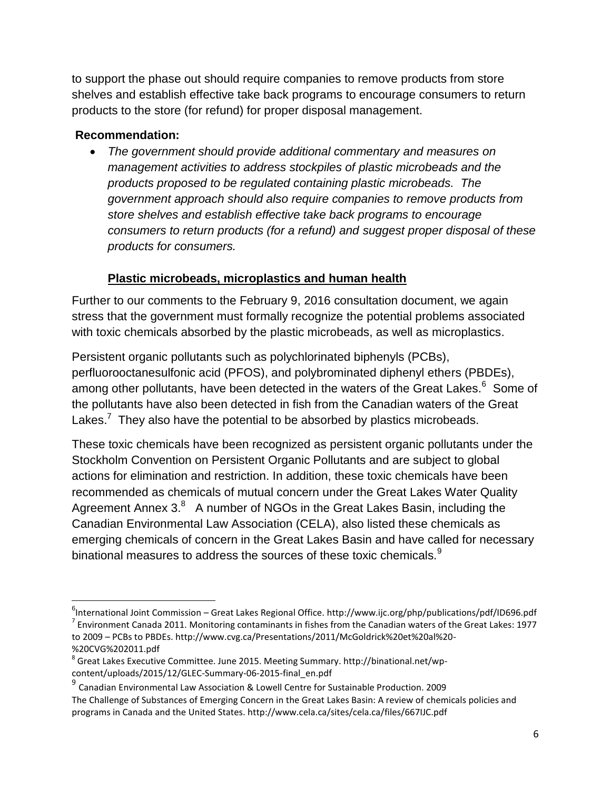to support the phase out should require companies to remove products from store shelves and establish effective take back programs to encourage consumers to return products to the store (for refund) for proper disposal management.

#### **Recommendation:**

 $\overline{\phantom{a}}$ 

 *The government should provide additional commentary and measures on management activities to address stockpiles of plastic microbeads and the products proposed to be regulated containing plastic microbeads. The government approach should also require companies to remove products from store shelves and establish effective take back programs to encourage consumers to return products (for a refund) and suggest proper disposal of these products for consumers.*

## **Plastic microbeads, microplastics and human health**

Further to our comments to the February 9, 2016 consultation document, we again stress that the government must formally recognize the potential problems associated with toxic chemicals absorbed by the plastic microbeads, as well as microplastics.

Persistent organic pollutants such as polychlorinated biphenyls (PCBs), perfluorooctanesulfonic acid (PFOS), and polybrominated diphenyl ethers (PBDEs), among other pollutants, have been detected in the waters of the Great Lakes.<sup>6</sup> Some of the pollutants have also been detected in fish from the Canadian waters of the Great Lakes.<sup>7</sup> They also have the potential to be absorbed by plastics microbeads.

These toxic chemicals have been recognized as persistent organic pollutants under the Stockholm Convention on Persistent Organic Pollutants and are subject to global actions for elimination and restriction. In addition, these toxic chemicals have been recommended as chemicals of mutual concern under the Great Lakes Water Quality Agreement Annex  $3.8$  A number of NGOs in the Great Lakes Basin, including the Canadian Environmental Law Association (CELA), also listed these chemicals as emerging chemicals of concern in the Great Lakes Basin and have called for necessary binational measures to address the sources of these toxic chemicals.<sup>9</sup>

<sup>&</sup>lt;sup>6</sup>International Joint Commission – Great Lakes Regional Office. http://www.ijc.org/php/publications/pdf/ID696.pdf  $^7$  Environment Canada 2011. Monitoring contaminants in fishes from the Canadian waters of the Great Lakes: 1977 to 2009 – PCBs to PBDEs. http://www.cvg.ca/Presentations/2011/McGoldrick%20et%20al%20- %20CVG%202011.pdf

 $^8$  Great Lakes Executive Committee. June 2015. Meeting Summary. http://binational.net/wpcontent/uploads/2015/12/GLEC-Summary-06-2015-final\_en.pdf

<sup>&</sup>lt;sup>9</sup> Canadian Environmental Law Association & Lowell Centre for Sustainable Production. 2009 The Challenge of Substances of Emerging Concern in the Great Lakes Basin: A review of chemicals policies and programs in Canada and the United States. http://www.cela.ca/sites/cela.ca/files/667IJC.pdf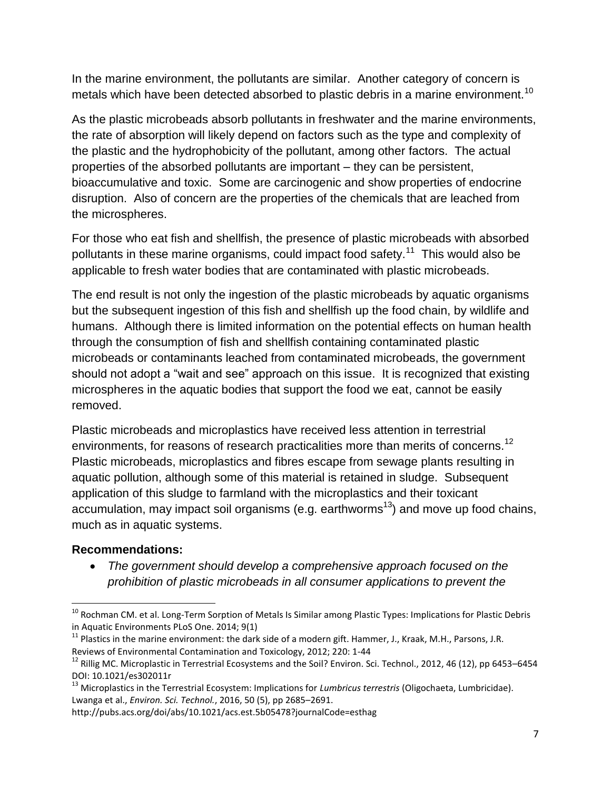In the marine environment, the pollutants are similar. Another category of concern is metals which have been detected absorbed to plastic debris in a marine environment.<sup>10</sup>

As the plastic microbeads absorb pollutants in freshwater and the marine environments, the rate of absorption will likely depend on factors such as the type and complexity of the plastic and the hydrophobicity of the pollutant, among other factors. The actual properties of the absorbed pollutants are important – they can be persistent, bioaccumulative and toxic. Some are carcinogenic and show properties of endocrine disruption. Also of concern are the properties of the chemicals that are leached from the microspheres.

For those who eat fish and shellfish, the presence of plastic microbeads with absorbed pollutants in these marine organisms, could impact food safety.<sup>11</sup> This would also be applicable to fresh water bodies that are contaminated with plastic microbeads.

The end result is not only the ingestion of the plastic microbeads by aquatic organisms but the subsequent ingestion of this fish and shellfish up the food chain, by wildlife and humans. Although there is limited information on the potential effects on human health through the consumption of fish and shellfish containing contaminated plastic microbeads or contaminants leached from contaminated microbeads, the government should not adopt a "wait and see" approach on this issue. It is recognized that existing microspheres in the aquatic bodies that support the food we eat, cannot be easily removed.

Plastic microbeads and microplastics have received less attention in terrestrial environments, for reasons of research practicalities more than merits of concerns.<sup>12</sup> Plastic microbeads, microplastics and fibres escape from sewage plants resulting in aquatic pollution, although some of this material is retained in sludge. Subsequent application of this sludge to farmland with the microplastics and their toxicant accumulation, may impact soil organisms (e.g. earthworms<sup>13</sup>) and move up food chains, much as in aquatic systems.

#### **Recommendations:**

 $\overline{\phantom{a}}$ 

 *The government should develop a comprehensive approach focused on the prohibition of plastic microbeads in all consumer applications to prevent the* 

<sup>&</sup>lt;sup>10</sup> Rochman CM. et al. Long-Term Sorption of Metals Is Similar among Plastic Types: Implications for Plastic Debris in Aquatic Environments PLoS One. 2014; 9(1)

 $11$  Plastics in the marine environment: the dark side of a modern gift. Hammer, J., Kraak, M.H., Parsons, J.R. Reviews of Environmental Contamination and Toxicology, 2012; 220: 1-44

 $12$  Rillig MC. Microplastic in Terrestrial Ecosystems and the Soil? Environ. Sci. Technol., 2012, 46 (12), pp 6453–6454 DOI: 10.1021/es302011r

<sup>13</sup> Microplastics in the Terrestrial Ecosystem: Implications for *Lumbricus terrestris* (Oligochaeta, Lumbricidae). Lwanga et al., *Environ. Sci. Technol.*, 2016, 50 (5), pp 2685–2691.

http://pubs.acs.org/doi/abs/10.1021/acs.est.5b05478?journalCode=esthag